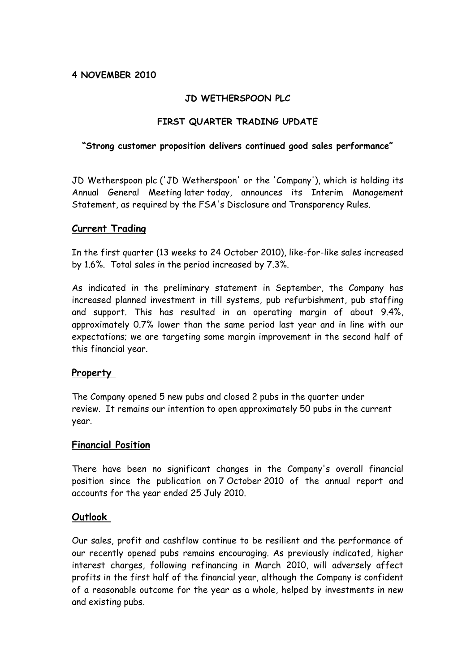# **4 NOVEMBER 2010**

## **JD WETHERSPOON PLC**

## **FIRST QUARTER TRADING UPDATE**

#### **"Strong customer proposition delivers continued good sales performance"**

JD Wetherspoon plc ('JD Wetherspoon' or the 'Company'), which is holding its Annual General Meeting later today, announces its Interim Management Statement, as required by the FSA's Disclosure and Transparency Rules.

#### **Current Trading**

In the first quarter (13 weeks to 24 October 2010), like-for-like sales increased by 1.6%. Total sales in the period increased by 7.3%.

As indicated in the preliminary statement in September, the Company has increased planned investment in till systems, pub refurbishment, pub staffing and support. This has resulted in an operating margin of about 9.4%, approximately 0.7% lower than the same period last year and in line with our expectations; we are targeting some margin improvement in the second half of this financial year.

## **Property**

The Company opened 5 new pubs and closed 2 pubs in the quarter under review. It remains our intention to open approximately 50 pubs in the current year.

## **Financial Position**

There have been no significant changes in the Company's overall financial position since the publication on 7 October 2010 of the annual report and accounts for the year ended 25 July 2010.

## **Outlook**

Our sales, profit and cashflow continue to be resilient and the performance of our recently opened pubs remains encouraging. As previously indicated, higher interest charges, following refinancing in March 2010, will adversely affect profits in the first half of the financial year, although the Company is confident of a reasonable outcome for the year as a whole, helped by investments in new and existing pubs.